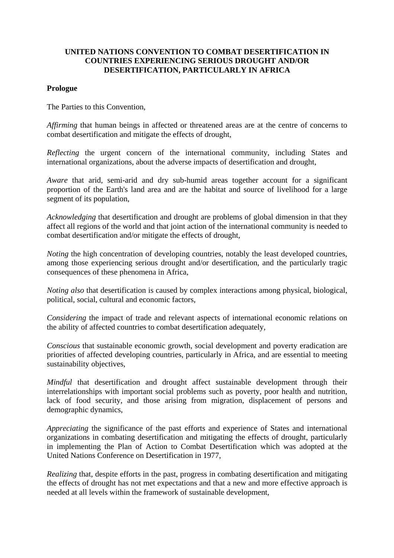## **UNITED NATIONS CONVENTION TO COMBAT DESERTIFICATION IN COUNTRIES EXPERIENCING SERIOUS DROUGHT AND/OR DESERTIFICATION, PARTICULARLY IN AFRICA**

#### **Prologue**

The Parties to this Convention,

*Affirming* that human beings in affected or threatened areas are at the centre of concerns to combat desertification and mitigate the effects of drought,

*Reflecting* the urgent concern of the international community, including States and international organizations, about the adverse impacts of desertification and drought,

*Aware* that arid, semi-arid and dry sub-humid areas together account for a significant proportion of the Earth's land area and are the habitat and source of livelihood for a large segment of its population,

*Acknowledging* that desertification and drought are problems of global dimension in that they affect all regions of the world and that joint action of the international community is needed to combat desertification and/or mitigate the effects of drought,

*Noting* the high concentration of developing countries, notably the least developed countries, among those experiencing serious drought and/or desertification, and the particularly tragic consequences of these phenomena in Africa,

*Noting also* that desertification is caused by complex interactions among physical, biological, political, social, cultural and economic factors,

*Considering* the impact of trade and relevant aspects of international economic relations on the ability of affected countries to combat desertification adequately,

*Conscious* that sustainable economic growth, social development and poverty eradication are priorities of affected developing countries, particularly in Africa, and are essential to meeting sustainability objectives,

*Mindful* that desertification and drought affect sustainable development through their interrelationships with important social problems such as poverty, poor health and nutrition, lack of food security, and those arising from migration, displacement of persons and demographic dynamics,

*Appreciating* the significance of the past efforts and experience of States and international organizations in combating desertification and mitigating the effects of drought, particularly in implementing the Plan of Action to Combat Desertification which was adopted at the United Nations Conference on Desertification in 1977,

*Realizing* that, despite efforts in the past, progress in combating desertification and mitigating the effects of drought has not met expectations and that a new and more effective approach is needed at all levels within the framework of sustainable development,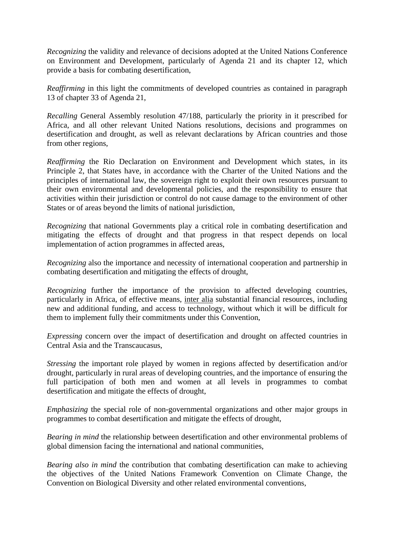*Recognizing* the validity and relevance of decisions adopted at the United Nations Conference on Environment and Development, particularly of Agenda 21 and its chapter 12, which provide a basis for combating desertification,

*Reaffirming* in this light the commitments of developed countries as contained in paragraph 13 of chapter 33 of Agenda 21,

*Recalling* General Assembly resolution 47/188, particularly the priority in it prescribed for Africa, and all other relevant United Nations resolutions, decisions and programmes on desertification and drought, as well as relevant declarations by African countries and those from other regions,

*Reaffirming* the Rio Declaration on Environment and Development which states, in its Principle 2, that States have, in accordance with the Charter of the United Nations and the principles of international law, the sovereign right to exploit their own resources pursuant to their own environmental and developmental policies, and the responsibility to ensure that activities within their jurisdiction or control do not cause damage to the environment of other States or of areas beyond the limits of national jurisdiction,

*Recognizing* that national Governments play a critical role in combating desertification and mitigating the effects of drought and that progress in that respect depends on local implementation of action programmes in affected areas,

*Recognizing* also the importance and necessity of international cooperation and partnership in combating desertification and mitigating the effects of drought,

*Recognizing* further the importance of the provision to affected developing countries, particularly in Africa, of effective means, inter alia substantial financial resources, including new and additional funding, and access to technology, without which it will be difficult for them to implement fully their commitments under this Convention,

*Expressing* concern over the impact of desertification and drought on affected countries in Central Asia and the Transcaucasus,

*Stressing* the important role played by women in regions affected by desertification and/or drought, particularly in rural areas of developing countries, and the importance of ensuring the full participation of both men and women at all levels in programmes to combat desertification and mitigate the effects of drought,

*Emphasizing* the special role of non-governmental organizations and other major groups in programmes to combat desertification and mitigate the effects of drought,

*Bearing in mind* the relationship between desertification and other environmental problems of global dimension facing the international and national communities,

*Bearing also in mind* the contribution that combating desertification can make to achieving the objectives of the United Nations Framework Convention on Climate Change, the Convention on Biological Diversity and other related environmental conventions,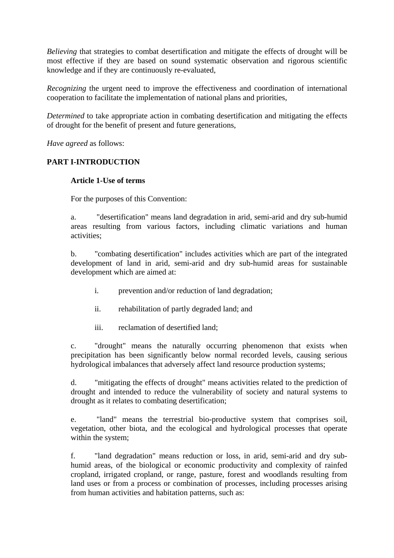*Believing* that strategies to combat desertification and mitigate the effects of drought will be most effective if they are based on sound systematic observation and rigorous scientific knowledge and if they are continuously re-evaluated,

*Recognizing* the urgent need to improve the effectiveness and coordination of international cooperation to facilitate the implementation of national plans and priorities,

*Determined* to take appropriate action in combating desertification and mitigating the effects of drought for the benefit of present and future generations,

*Have agreed* as follows:

## **PART I-INTRODUCTION**

### **Article 1-Use of terms**

For the purposes of this Convention:

a. "desertification" means land degradation in arid, semi-arid and dry sub-humid areas resulting from various factors, including climatic variations and human activities;

b. "combating desertification" includes activities which are part of the integrated development of land in arid, semi-arid and dry sub-humid areas for sustainable development which are aimed at:

- i. prevention and/or reduction of land degradation;
- ii. rehabilitation of partly degraded land; and
- iii. reclamation of desertified land;

c. "drought" means the naturally occurring phenomenon that exists when precipitation has been significantly below normal recorded levels, causing serious hydrological imbalances that adversely affect land resource production systems;

d. "mitigating the effects of drought" means activities related to the prediction of drought and intended to reduce the vulnerability of society and natural systems to drought as it relates to combating desertification;

e. "land" means the terrestrial bio-productive system that comprises soil, vegetation, other biota, and the ecological and hydrological processes that operate within the system;

f. "land degradation" means reduction or loss, in arid, semi-arid and dry subhumid areas, of the biological or economic productivity and complexity of rainfed cropland, irrigated cropland, or range, pasture, forest and woodlands resulting from land uses or from a process or combination of processes, including processes arising from human activities and habitation patterns, such as: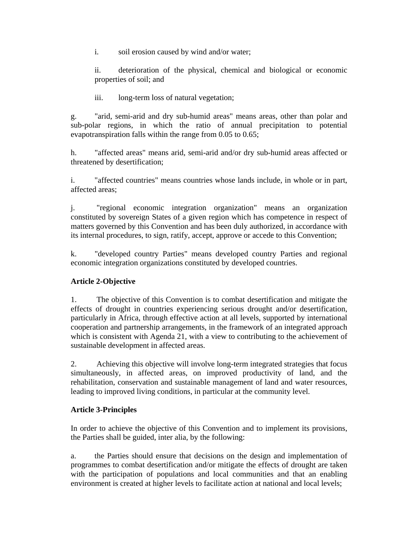i. soil erosion caused by wind and/or water;

ii. deterioration of the physical, chemical and biological or economic properties of soil; and

iii. long-term loss of natural vegetation;

g. "arid, semi-arid and dry sub-humid areas" means areas, other than polar and sub-polar regions, in which the ratio of annual precipitation to potential evapotranspiration falls within the range from 0.05 to 0.65;

h. "affected areas" means arid, semi-arid and/or dry sub-humid areas affected or threatened by desertification;

i. "affected countries" means countries whose lands include, in whole or in part, affected areas;

j. "regional economic integration organization" means an organization constituted by sovereign States of a given region which has competence in respect of matters governed by this Convention and has been duly authorized, in accordance with its internal procedures, to sign, ratify, accept, approve or accede to this Convention;

k. "developed country Parties" means developed country Parties and regional economic integration organizations constituted by developed countries.

## **Article 2-Objective**

1. The objective of this Convention is to combat desertification and mitigate the effects of drought in countries experiencing serious drought and/or desertification, particularly in Africa, through effective action at all levels, supported by international cooperation and partnership arrangements, in the framework of an integrated approach which is consistent with Agenda 21, with a view to contributing to the achievement of sustainable development in affected areas.

2. Achieving this objective will involve long-term integrated strategies that focus simultaneously, in affected areas, on improved productivity of land, and the rehabilitation, conservation and sustainable management of land and water resources, leading to improved living conditions, in particular at the community level.

## **Article 3-Principles**

In order to achieve the objective of this Convention and to implement its provisions, the Parties shall be guided, inter alia, by the following:

a. the Parties should ensure that decisions on the design and implementation of programmes to combat desertification and/or mitigate the effects of drought are taken with the participation of populations and local communities and that an enabling environment is created at higher levels to facilitate action at national and local levels;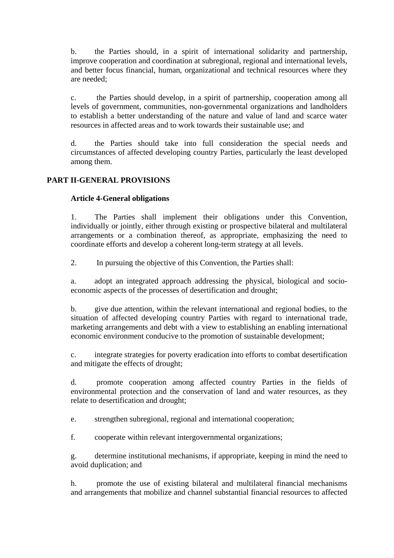b. the Parties should, in a spirit of international solidarity and partnership, improve cooperation and coordination at subregional, regional and international levels, and better focus financial, human, organizational and technical resources where they are needed;

c. the Parties should develop, in a spirit of partnership, cooperation among all levels of government, communities, non-governmental organizations and landholders to establish a better understanding of the nature and value of land and scarce water resources in affected areas and to work towards their sustainable use; and

d. the Parties should take into full consideration the special needs and circumstances of affected developing country Parties, particularly the least developed among them.

# **PART II-GENERAL PROVISIONS**

### **Article 4-General obligations**

1. The Parties shall implement their obligations under this Convention, individually or jointly, either through existing or prospective bilateral and multilateral arrangements or a combination thereof, as appropriate, emphasizing the need to coordinate efforts and develop a coherent long-term strategy at all levels.

2. In pursuing the objective of this Convention, the Parties shall:

a. adopt an integrated approach addressing the physical, biological and socioeconomic aspects of the processes of desertification and drought;

b. give due attention, within the relevant international and regional bodies, to the situation of affected developing country Parties with regard to international trade, marketing arrangements and debt with a view to establishing an enabling international economic environment conducive to the promotion of sustainable development;

c. integrate strategies for poverty eradication into efforts to combat desertification and mitigate the effects of drought;

d. promote cooperation among affected country Parties in the fields of environmental protection and the conservation of land and water resources, as they relate to desertification and drought;

e. strengthen subregional, regional and international cooperation;

f. cooperate within relevant intergovernmental organizations;

g. determine institutional mechanisms, if appropriate, keeping in mind the need to avoid duplication; and

h. promote the use of existing bilateral and multilateral financial mechanisms and arrangements that mobilize and channel substantial financial resources to affected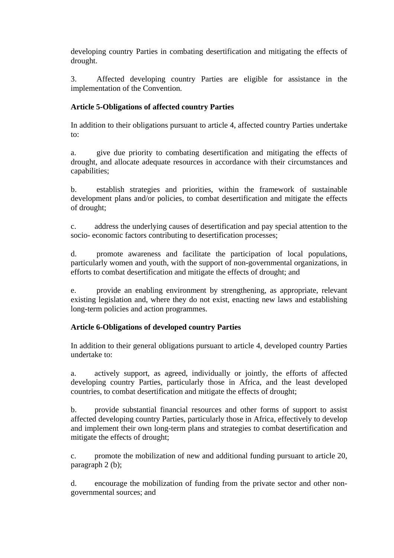developing country Parties in combating desertification and mitigating the effects of drought.

3. Affected developing country Parties are eligible for assistance in the implementation of the Convention.

# **Article 5-Obligations of affected country Parties**

In addition to their obligations pursuant to article 4, affected country Parties undertake to:

a. give due priority to combating desertification and mitigating the effects of drought, and allocate adequate resources in accordance with their circumstances and capabilities;

b. establish strategies and priorities, within the framework of sustainable development plans and/or policies, to combat desertification and mitigate the effects of drought;

c. address the underlying causes of desertification and pay special attention to the socio- economic factors contributing to desertification processes;

d. promote awareness and facilitate the participation of local populations, particularly women and youth, with the support of non-governmental organizations, in efforts to combat desertification and mitigate the effects of drought; and

e. provide an enabling environment by strengthening, as appropriate, relevant existing legislation and, where they do not exist, enacting new laws and establishing long-term policies and action programmes.

## **Article 6-Obligations of developed country Parties**

In addition to their general obligations pursuant to article 4, developed country Parties undertake to:

a. actively support, as agreed, individually or jointly, the efforts of affected developing country Parties, particularly those in Africa, and the least developed countries, to combat desertification and mitigate the effects of drought;

b. provide substantial financial resources and other forms of support to assist affected developing country Parties, particularly those in Africa, effectively to develop and implement their own long-term plans and strategies to combat desertification and mitigate the effects of drought;

c. promote the mobilization of new and additional funding pursuant to article 20, paragraph 2 (b);

d. encourage the mobilization of funding from the private sector and other nongovernmental sources; and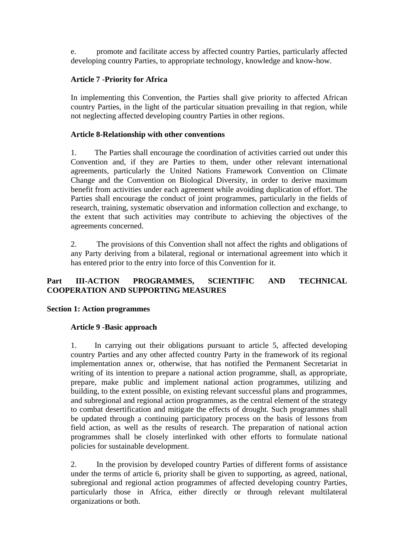e. promote and facilitate access by affected country Parties, particularly affected developing country Parties, to appropriate technology, knowledge and know-how.

## **Article 7 -Priority for Africa**

In implementing this Convention, the Parties shall give priority to affected African country Parties, in the light of the particular situation prevailing in that region, while not neglecting affected developing country Parties in other regions.

## **Article 8-Relationship with other conventions**

1. The Parties shall encourage the coordination of activities carried out under this Convention and, if they are Parties to them, under other relevant international agreements, particularly the United Nations Framework Convention on Climate Change and the Convention on Biological Diversity, in order to derive maximum benefit from activities under each agreement while avoiding duplication of effort. The Parties shall encourage the conduct of joint programmes, particularly in the fields of research, training, systematic observation and information collection and exchange, to the extent that such activities may contribute to achieving the objectives of the agreements concerned.

2. The provisions of this Convention shall not affect the rights and obligations of any Party deriving from a bilateral, regional or international agreement into which it has entered prior to the entry into force of this Convention for it.

# **Part III-ACTION PROGRAMMES, SCIENTIFIC AND TECHNICAL COOPERATION AND SUPPORTING MEASURES**

## **Section 1: Action programmes**

#### **Article 9 -Basic approach**

1. In carrying out their obligations pursuant to article 5, affected developing country Parties and any other affected country Party in the framework of its regional implementation annex or, otherwise, that has notified the Permanent Secretariat in writing of its intention to prepare a national action programme, shall, as appropriate, prepare, make public and implement national action programmes, utilizing and building, to the extent possible, on existing relevant successful plans and programmes, and subregional and regional action programmes, as the central element of the strategy to combat desertification and mitigate the effects of drought. Such programmes shall be updated through a continuing participatory process on the basis of lessons from field action, as well as the results of research. The preparation of national action programmes shall be closely interlinked with other efforts to formulate national policies for sustainable development.

2. In the provision by developed country Parties of different forms of assistance under the terms of article 6, priority shall be given to supporting, as agreed, national, subregional and regional action programmes of affected developing country Parties, particularly those in Africa, either directly or through relevant multilateral organizations or both.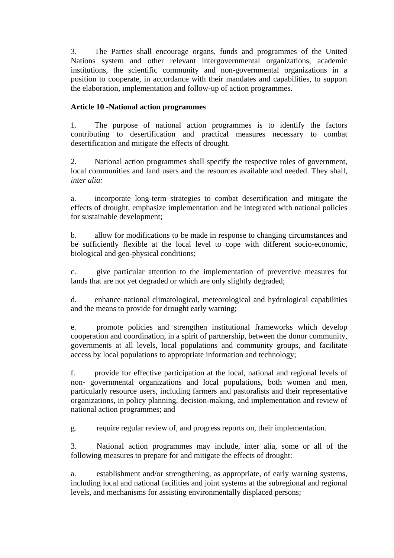3. The Parties shall encourage organs, funds and programmes of the United Nations system and other relevant intergovernmental organizations, academic institutions, the scientific community and non-governmental organizations in a position to cooperate, in accordance with their mandates and capabilities, to support the elaboration, implementation and follow-up of action programmes.

### **Article 10 -National action programmes**

1. The purpose of national action programmes is to identify the factors contributing to desertification and practical measures necessary to combat desertification and mitigate the effects of drought.

National action programmes shall specify the respective roles of government, local communities and land users and the resources available and needed. They shall, *inter alia:* 

a. incorporate long-term strategies to combat desertification and mitigate the effects of drought, emphasize implementation and be integrated with national policies for sustainable development;

b. allow for modifications to be made in response to changing circumstances and be sufficiently flexible at the local level to cope with different socio-economic, biological and geo-physical conditions;

c. give particular attention to the implementation of preventive measures for lands that are not yet degraded or which are only slightly degraded;

d. enhance national climatological, meteorological and hydrological capabilities and the means to provide for drought early warning;

e. promote policies and strengthen institutional frameworks which develop cooperation and coordination, in a spirit of partnership, between the donor community, governments at all levels, local populations and community groups, and facilitate access by local populations to appropriate information and technology;

f. provide for effective participation at the local, national and regional levels of non- governmental organizations and local populations, both women and men, particularly resource users, including farmers and pastoralists and their representative organizations, in policy planning, decision-making, and implementation and review of national action programmes; and

g. require regular review of, and progress reports on, their implementation.

3. National action programmes may include, inter alia, some or all of the following measures to prepare for and mitigate the effects of drought:

establishment and/or strengthening, as appropriate, of early warning systems, including local and national facilities and joint systems at the subregional and regional levels, and mechanisms for assisting environmentally displaced persons;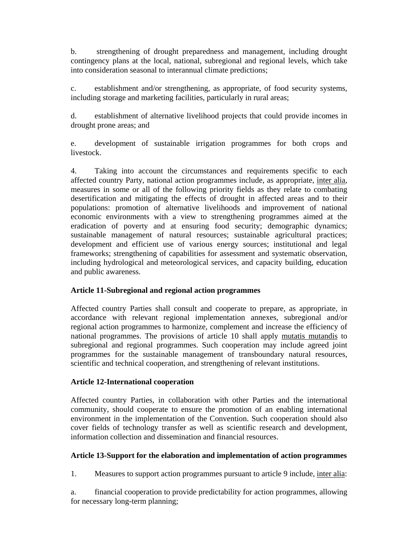b. strengthening of drought preparedness and management, including drought contingency plans at the local, national, subregional and regional levels, which take into consideration seasonal to interannual climate predictions;

c. establishment and/or strengthening, as appropriate, of food security systems, including storage and marketing facilities, particularly in rural areas;

d. establishment of alternative livelihood projects that could provide incomes in drought prone areas; and

e. development of sustainable irrigation programmes for both crops and livestock.

4. Taking into account the circumstances and requirements specific to each affected country Party, national action programmes include, as appropriate, inter alia, measures in some or all of the following priority fields as they relate to combating desertification and mitigating the effects of drought in affected areas and to their populations: promotion of alternative livelihoods and improvement of national economic environments with a view to strengthening programmes aimed at the eradication of poverty and at ensuring food security; demographic dynamics; sustainable management of natural resources; sustainable agricultural practices; development and efficient use of various energy sources; institutional and legal frameworks; strengthening of capabilities for assessment and systematic observation, including hydrological and meteorological services, and capacity building, education and public awareness.

## **Article 11-Subregional and regional action programmes**

Affected country Parties shall consult and cooperate to prepare, as appropriate, in accordance with relevant regional implementation annexes, subregional and/or regional action programmes to harmonize, complement and increase the efficiency of national programmes. The provisions of article 10 shall apply mutatis mutandis to subregional and regional programmes. Such cooperation may include agreed joint programmes for the sustainable management of transboundary natural resources, scientific and technical cooperation, and strengthening of relevant institutions.

#### **Article 12-International cooperation**

Affected country Parties, in collaboration with other Parties and the international community, should cooperate to ensure the promotion of an enabling international environment in the implementation of the Convention. Such cooperation should also cover fields of technology transfer as well as scientific research and development, information collection and dissemination and financial resources.

## **Article 13-Support for the elaboration and implementation of action programmes**

1. Measures to support action programmes pursuant to article 9 include, inter alia:

a. financial cooperation to provide predictability for action programmes, allowing for necessary long-term planning;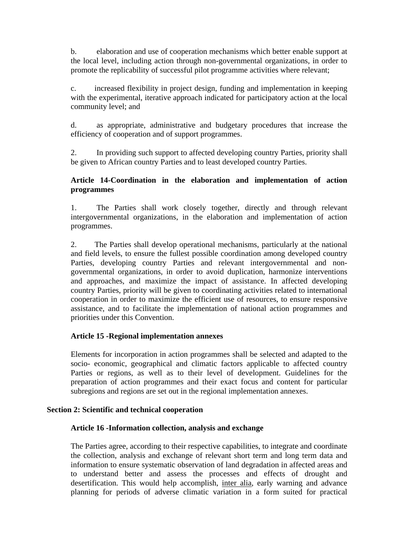b. elaboration and use of cooperation mechanisms which better enable support at the local level, including action through non-governmental organizations, in order to promote the replicability of successful pilot programme activities where relevant;

c. increased flexibility in project design, funding and implementation in keeping with the experimental, iterative approach indicated for participatory action at the local community level; and

d. as appropriate, administrative and budgetary procedures that increase the efficiency of cooperation and of support programmes.

2. In providing such support to affected developing country Parties, priority shall be given to African country Parties and to least developed country Parties.

## **Article 14-Coordination in the elaboration and implementation of action programmes**

1. The Parties shall work closely together, directly and through relevant intergovernmental organizations, in the elaboration and implementation of action programmes.

2. The Parties shall develop operational mechanisms, particularly at the national and field levels, to ensure the fullest possible coordination among developed country Parties, developing country Parties and relevant intergovernmental and nongovernmental organizations, in order to avoid duplication, harmonize interventions and approaches, and maximize the impact of assistance. In affected developing country Parties, priority will be given to coordinating activities related to international cooperation in order to maximize the efficient use of resources, to ensure responsive assistance, and to facilitate the implementation of national action programmes and priorities under this Convention.

## **Article 15 -Regional implementation annexes**

Elements for incorporation in action programmes shall be selected and adapted to the socio- economic, geographical and climatic factors applicable to affected country Parties or regions, as well as to their level of development. Guidelines for the preparation of action programmes and their exact focus and content for particular subregions and regions are set out in the regional implementation annexes.

### **Section 2: Scientific and technical cooperation**

## **Article 16 -Information collection, analysis and exchange**

The Parties agree, according to their respective capabilities, to integrate and coordinate the collection, analysis and exchange of relevant short term and long term data and information to ensure systematic observation of land degradation in affected areas and to understand better and assess the processes and effects of drought and desertification. This would help accomplish, inter alia, early warning and advance planning for periods of adverse climatic variation in a form suited for practical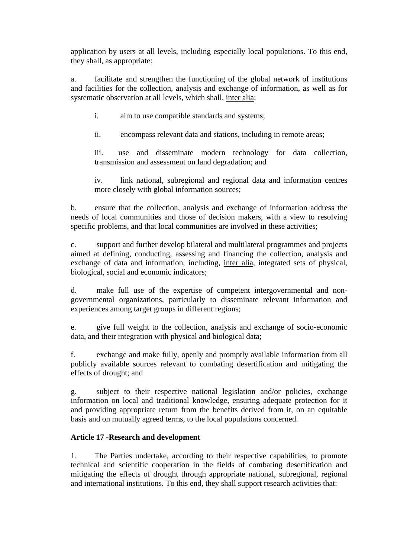application by users at all levels, including especially local populations. To this end, they shall, as appropriate:

a. facilitate and strengthen the functioning of the global network of institutions and facilities for the collection, analysis and exchange of information, as well as for systematic observation at all levels, which shall, inter alia:

i. aim to use compatible standards and systems;

ii. encompass relevant data and stations, including in remote areas;

iii. use and disseminate modern technology for data collection, transmission and assessment on land degradation; and

iv. link national, subregional and regional data and information centres more closely with global information sources;

b. ensure that the collection, analysis and exchange of information address the needs of local communities and those of decision makers, with a view to resolving specific problems, and that local communities are involved in these activities;

c. support and further develop bilateral and multilateral programmes and projects aimed at defining, conducting, assessing and financing the collection, analysis and exchange of data and information, including, inter alia, integrated sets of physical, biological, social and economic indicators;

d. make full use of the expertise of competent intergovernmental and nongovernmental organizations, particularly to disseminate relevant information and experiences among target groups in different regions;

e. give full weight to the collection, analysis and exchange of socio-economic data, and their integration with physical and biological data;

f. exchange and make fully, openly and promptly available information from all publicly available sources relevant to combating desertification and mitigating the effects of drought; and

g. subject to their respective national legislation and/or policies, exchange information on local and traditional knowledge, ensuring adequate protection for it and providing appropriate return from the benefits derived from it, on an equitable basis and on mutually agreed terms, to the local populations concerned.

#### **Article 17 -Research and development**

1. The Parties undertake, according to their respective capabilities, to promote technical and scientific cooperation in the fields of combating desertification and mitigating the effects of drought through appropriate national, subregional, regional and international institutions. To this end, they shall support research activities that: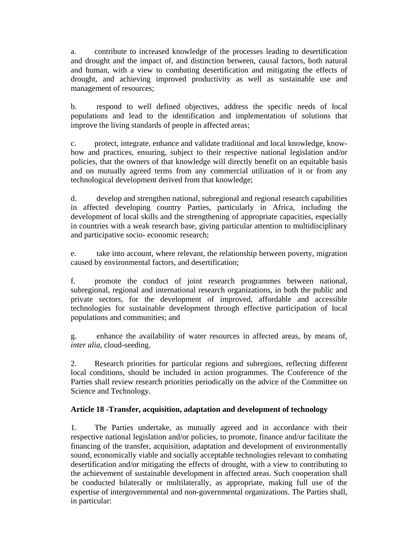a. contribute to increased knowledge of the processes leading to desertification and drought and the impact of, and distinction between, causal factors, both natural and human, with a view to combating desertification and mitigating the effects of drought, and achieving improved productivity as well as sustainable use and management of resources;

b. respond to well defined objectives, address the specific needs of local populations and lead to the identification and implementation of solutions that improve the living standards of people in affected areas;

c. protect, integrate, enhance and validate traditional and local knowledge, knowhow and practices, ensuring, subject to their respective national legislation and/or policies, that the owners of that knowledge will directly benefit on an equitable basis and on mutually agreed terms from any commercial utilization of it or from any technological development derived from that knowledge;

d. develop and strengthen national, subregional and regional research capabilities in affected developing country Parties, particularly in Africa, including the development of local skills and the strengthening of appropriate capacities, especially in countries with a weak research base, giving particular attention to multidisciplinary and participative socio- economic research;

e. take into account, where relevant, the relationship between poverty, migration caused by environmental factors, and desertification;

f. promote the conduct of joint research programmes between national, subregional, regional and international research organizations, in both the public and private sectors, for the development of improved, affordable and accessible technologies for sustainable development through effective participation of local populations and communities; and

g. enhance the availability of water resources in affected areas, by means of, *inter alia*, cloud-seeding.

2. Research priorities for particular regions and subregions, reflecting different local conditions, should be included in action programmes. The Conference of the Parties shall review research priorities periodically on the advice of the Committee on Science and Technology.

## **Article 18 -Transfer, acquisition, adaptation and development of technology**

1. The Parties undertake, as mutually agreed and in accordance with their respective national legislation and/or policies, to promote, finance and/or facilitate the financing of the transfer, acquisition, adaptation and development of environmentally sound, economically viable and socially acceptable technologies relevant to combating desertification and/or mitigating the effects of drought, with a view to contributing to the achievement of sustainable development in affected areas. Such cooperation shall be conducted bilaterally or multilaterally, as appropriate, making full use of the expertise of intergovernmental and non-governmental organizations. The Parties shall, in particular: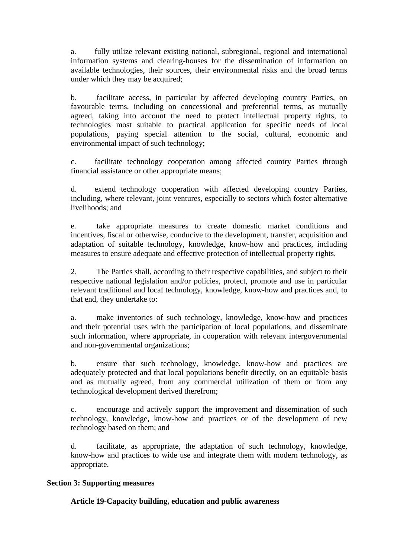a. fully utilize relevant existing national, subregional, regional and international information systems and clearing-houses for the dissemination of information on available technologies, their sources, their environmental risks and the broad terms under which they may be acquired;

b. facilitate access, in particular by affected developing country Parties, on favourable terms, including on concessional and preferential terms, as mutually agreed, taking into account the need to protect intellectual property rights, to technologies most suitable to practical application for specific needs of local populations, paying special attention to the social, cultural, economic and environmental impact of such technology;

c. facilitate technology cooperation among affected country Parties through financial assistance or other appropriate means;

d. extend technology cooperation with affected developing country Parties, including, where relevant, joint ventures, especially to sectors which foster alternative livelihoods; and

e. take appropriate measures to create domestic market conditions and incentives, fiscal or otherwise, conducive to the development, transfer, acquisition and adaptation of suitable technology, knowledge, know-how and practices, including measures to ensure adequate and effective protection of intellectual property rights.

2. The Parties shall, according to their respective capabilities, and subject to their respective national legislation and/or policies, protect, promote and use in particular relevant traditional and local technology, knowledge, know-how and practices and, to that end, they undertake to:

a. make inventories of such technology, knowledge, know-how and practices and their potential uses with the participation of local populations, and disseminate such information, where appropriate, in cooperation with relevant intergovernmental and non-governmental organizations;

b. ensure that such technology, knowledge, know-how and practices are adequately protected and that local populations benefit directly, on an equitable basis and as mutually agreed, from any commercial utilization of them or from any technological development derived therefrom;

c. encourage and actively support the improvement and dissemination of such technology, knowledge, know-how and practices or of the development of new technology based on them; and

d. facilitate, as appropriate, the adaptation of such technology, knowledge, know-how and practices to wide use and integrate them with modern technology, as appropriate.

#### **Section 3: Supporting measures**

**Article 19-Capacity building, education and public awareness**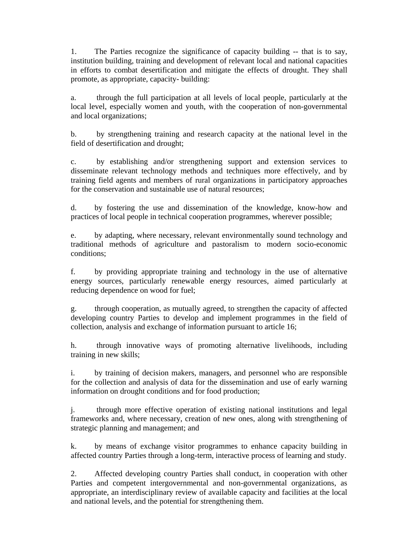1. The Parties recognize the significance of capacity building -- that is to say, institution building, training and development of relevant local and national capacities in efforts to combat desertification and mitigate the effects of drought. They shall promote, as appropriate, capacity- building:

a. through the full participation at all levels of local people, particularly at the local level, especially women and youth, with the cooperation of non-governmental and local organizations;

b. by strengthening training and research capacity at the national level in the field of desertification and drought;

c. by establishing and/or strengthening support and extension services to disseminate relevant technology methods and techniques more effectively, and by training field agents and members of rural organizations in participatory approaches for the conservation and sustainable use of natural resources;

d. by fostering the use and dissemination of the knowledge, know-how and practices of local people in technical cooperation programmes, wherever possible;

e. by adapting, where necessary, relevant environmentally sound technology and traditional methods of agriculture and pastoralism to modern socio-economic conditions;

f. by providing appropriate training and technology in the use of alternative energy sources, particularly renewable energy resources, aimed particularly at reducing dependence on wood for fuel;

g. through cooperation, as mutually agreed, to strengthen the capacity of affected developing country Parties to develop and implement programmes in the field of collection, analysis and exchange of information pursuant to article 16;

h. through innovative ways of promoting alternative livelihoods, including training in new skills;

i. by training of decision makers, managers, and personnel who are responsible for the collection and analysis of data for the dissemination and use of early warning information on drought conditions and for food production;

j. through more effective operation of existing national institutions and legal frameworks and, where necessary, creation of new ones, along with strengthening of strategic planning and management; and

k. by means of exchange visitor programmes to enhance capacity building in affected country Parties through a long-term, interactive process of learning and study.

2. Affected developing country Parties shall conduct, in cooperation with other Parties and competent intergovernmental and non-governmental organizations, as appropriate, an interdisciplinary review of available capacity and facilities at the local and national levels, and the potential for strengthening them.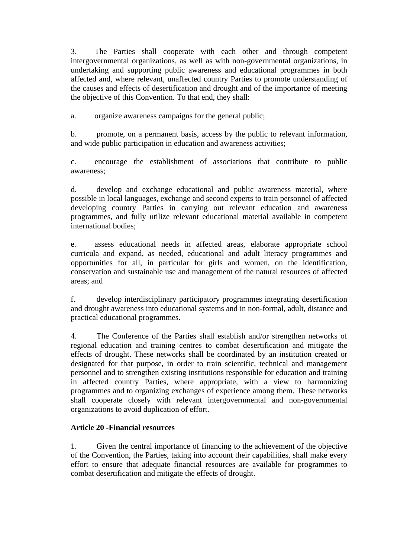3. The Parties shall cooperate with each other and through competent intergovernmental organizations, as well as with non-governmental organizations, in undertaking and supporting public awareness and educational programmes in both affected and, where relevant, unaffected country Parties to promote understanding of the causes and effects of desertification and drought and of the importance of meeting the objective of this Convention. To that end, they shall:

a. organize awareness campaigns for the general public;

b. promote, on a permanent basis, access by the public to relevant information, and wide public participation in education and awareness activities;

c. encourage the establishment of associations that contribute to public awareness;

d. develop and exchange educational and public awareness material, where possible in local languages, exchange and second experts to train personnel of affected developing country Parties in carrying out relevant education and awareness programmes, and fully utilize relevant educational material available in competent international bodies;

e. assess educational needs in affected areas, elaborate appropriate school curricula and expand, as needed, educational and adult literacy programmes and opportunities for all, in particular for girls and women, on the identification, conservation and sustainable use and management of the natural resources of affected areas; and

f. develop interdisciplinary participatory programmes integrating desertification and drought awareness into educational systems and in non-formal, adult, distance and practical educational programmes.

4. The Conference of the Parties shall establish and/or strengthen networks of regional education and training centres to combat desertification and mitigate the effects of drought. These networks shall be coordinated by an institution created or designated for that purpose, in order to train scientific, technical and management personnel and to strengthen existing institutions responsible for education and training in affected country Parties, where appropriate, with a view to harmonizing programmes and to organizing exchanges of experience among them. These networks shall cooperate closely with relevant intergovernmental and non-governmental organizations to avoid duplication of effort.

## **Article 20 -Financial resources**

1. Given the central importance of financing to the achievement of the objective of the Convention, the Parties, taking into account their capabilities, shall make every effort to ensure that adequate financial resources are available for programmes to combat desertification and mitigate the effects of drought.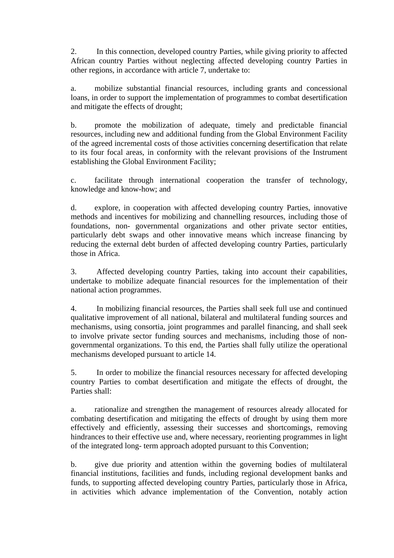2. In this connection, developed country Parties, while giving priority to affected African country Parties without neglecting affected developing country Parties in other regions, in accordance with article 7, undertake to:

a. mobilize substantial financial resources, including grants and concessional loans, in order to support the implementation of programmes to combat desertification and mitigate the effects of drought;

b. promote the mobilization of adequate, timely and predictable financial resources, including new and additional funding from the Global Environment Facility of the agreed incremental costs of those activities concerning desertification that relate to its four focal areas, in conformity with the relevant provisions of the Instrument establishing the Global Environment Facility;

c. facilitate through international cooperation the transfer of technology, knowledge and know-how; and

d. explore, in cooperation with affected developing country Parties, innovative methods and incentives for mobilizing and channelling resources, including those of foundations, non- governmental organizations and other private sector entities, particularly debt swaps and other innovative means which increase financing by reducing the external debt burden of affected developing country Parties, particularly those in Africa.

3. Affected developing country Parties, taking into account their capabilities, undertake to mobilize adequate financial resources for the implementation of their national action programmes.

4. In mobilizing financial resources, the Parties shall seek full use and continued qualitative improvement of all national, bilateral and multilateral funding sources and mechanisms, using consortia, joint programmes and parallel financing, and shall seek to involve private sector funding sources and mechanisms, including those of nongovernmental organizations. To this end, the Parties shall fully utilize the operational mechanisms developed pursuant to article 14.

5. In order to mobilize the financial resources necessary for affected developing country Parties to combat desertification and mitigate the effects of drought, the Parties shall:

a. rationalize and strengthen the management of resources already allocated for combating desertification and mitigating the effects of drought by using them more effectively and efficiently, assessing their successes and shortcomings, removing hindrances to their effective use and, where necessary, reorienting programmes in light of the integrated long- term approach adopted pursuant to this Convention;

b. give due priority and attention within the governing bodies of multilateral financial institutions, facilities and funds, including regional development banks and funds, to supporting affected developing country Parties, particularly those in Africa, in activities which advance implementation of the Convention, notably action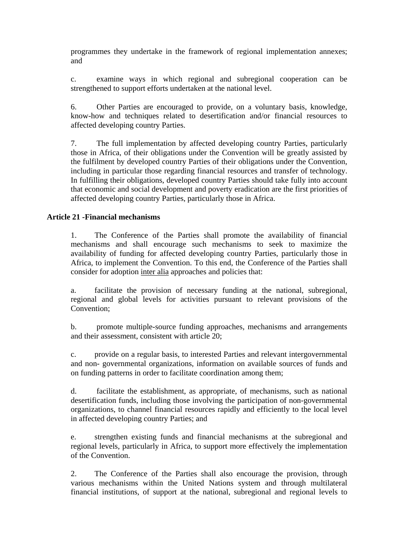programmes they undertake in the framework of regional implementation annexes; and

c. examine ways in which regional and subregional cooperation can be strengthened to support efforts undertaken at the national level.

6. Other Parties are encouraged to provide, on a voluntary basis, knowledge, know-how and techniques related to desertification and/or financial resources to affected developing country Parties.

7. The full implementation by affected developing country Parties, particularly those in Africa, of their obligations under the Convention will be greatly assisted by the fulfilment by developed country Parties of their obligations under the Convention, including in particular those regarding financial resources and transfer of technology. In fulfilling their obligations, developed country Parties should take fully into account that economic and social development and poverty eradication are the first priorities of affected developing country Parties, particularly those in Africa.

### **Article 21 -Financial mechanisms**

1. The Conference of the Parties shall promote the availability of financial mechanisms and shall encourage such mechanisms to seek to maximize the availability of funding for affected developing country Parties, particularly those in Africa, to implement the Convention. To this end, the Conference of the Parties shall consider for adoption inter alia approaches and policies that:

a. facilitate the provision of necessary funding at the national, subregional, regional and global levels for activities pursuant to relevant provisions of the Convention;

b. promote multiple-source funding approaches, mechanisms and arrangements and their assessment, consistent with article 20;

c. provide on a regular basis, to interested Parties and relevant intergovernmental and non- governmental organizations, information on available sources of funds and on funding patterns in order to facilitate coordination among them;

d. facilitate the establishment, as appropriate, of mechanisms, such as national desertification funds, including those involving the participation of non-governmental organizations, to channel financial resources rapidly and efficiently to the local level in affected developing country Parties; and

e. strengthen existing funds and financial mechanisms at the subregional and regional levels, particularly in Africa, to support more effectively the implementation of the Convention.

2. The Conference of the Parties shall also encourage the provision, through various mechanisms within the United Nations system and through multilateral financial institutions, of support at the national, subregional and regional levels to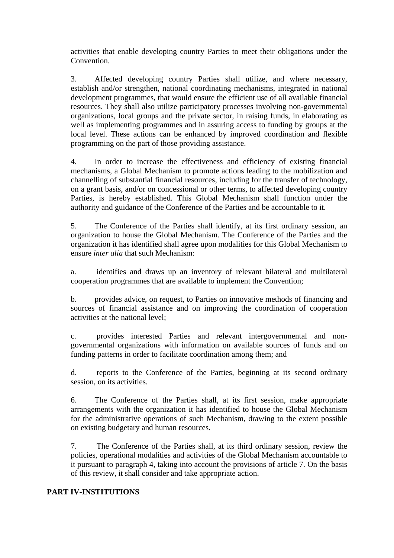activities that enable developing country Parties to meet their obligations under the Convention.

3. Affected developing country Parties shall utilize, and where necessary, establish and/or strengthen, national coordinating mechanisms, integrated in national development programmes, that would ensure the efficient use of all available financial resources. They shall also utilize participatory processes involving non-governmental organizations, local groups and the private sector, in raising funds, in elaborating as well as implementing programmes and in assuring access to funding by groups at the local level. These actions can be enhanced by improved coordination and flexible programming on the part of those providing assistance.

4. In order to increase the effectiveness and efficiency of existing financial mechanisms, a Global Mechanism to promote actions leading to the mobilization and channelling of substantial financial resources, including for the transfer of technology, on a grant basis, and/or on concessional or other terms, to affected developing country Parties, is hereby established. This Global Mechanism shall function under the authority and guidance of the Conference of the Parties and be accountable to it.

5. The Conference of the Parties shall identify, at its first ordinary session, an organization to house the Global Mechanism. The Conference of the Parties and the organization it has identified shall agree upon modalities for this Global Mechanism to ensure *inter alia* that such Mechanism:

a. identifies and draws up an inventory of relevant bilateral and multilateral cooperation programmes that are available to implement the Convention;

b. provides advice, on request, to Parties on innovative methods of financing and sources of financial assistance and on improving the coordination of cooperation activities at the national level;

c. provides interested Parties and relevant intergovernmental and nongovernmental organizations with information on available sources of funds and on funding patterns in order to facilitate coordination among them; and

d. reports to the Conference of the Parties, beginning at its second ordinary session, on its activities.

6. The Conference of the Parties shall, at its first session, make appropriate arrangements with the organization it has identified to house the Global Mechanism for the administrative operations of such Mechanism, drawing to the extent possible on existing budgetary and human resources.

7. The Conference of the Parties shall, at its third ordinary session, review the policies, operational modalities and activities of the Global Mechanism accountable to it pursuant to paragraph 4, taking into account the provisions of article 7. On the basis of this review, it shall consider and take appropriate action.

## **PART IV-INSTITUTIONS**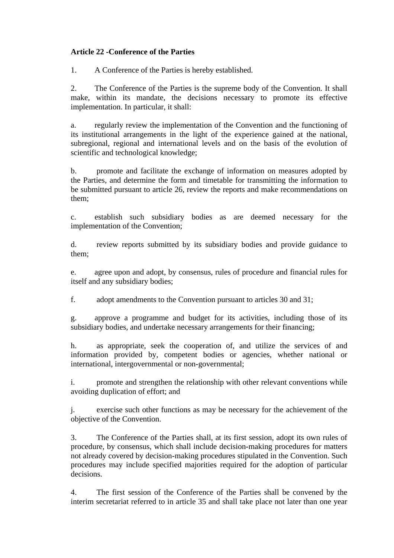## **Article 22 -Conference of the Parties**

1. A Conference of the Parties is hereby established.

2. The Conference of the Parties is the supreme body of the Convention. It shall make, within its mandate, the decisions necessary to promote its effective implementation. In particular, it shall:

a. regularly review the implementation of the Convention and the functioning of its institutional arrangements in the light of the experience gained at the national, subregional, regional and international levels and on the basis of the evolution of scientific and technological knowledge;

b. promote and facilitate the exchange of information on measures adopted by the Parties, and determine the form and timetable for transmitting the information to be submitted pursuant to article 26, review the reports and make recommendations on them;

c. establish such subsidiary bodies as are deemed necessary for the implementation of the Convention;

d. review reports submitted by its subsidiary bodies and provide guidance to them;

e. agree upon and adopt, by consensus, rules of procedure and financial rules for itself and any subsidiary bodies;

f. adopt amendments to the Convention pursuant to articles 30 and 31;

g. approve a programme and budget for its activities, including those of its subsidiary bodies, and undertake necessary arrangements for their financing;

h. as appropriate, seek the cooperation of, and utilize the services of and information provided by, competent bodies or agencies, whether national or international, intergovernmental or non-governmental;

i. promote and strengthen the relationship with other relevant conventions while avoiding duplication of effort; and

j. exercise such other functions as may be necessary for the achievement of the objective of the Convention.

3. The Conference of the Parties shall, at its first session, adopt its own rules of procedure, by consensus, which shall include decision-making procedures for matters not already covered by decision-making procedures stipulated in the Convention. Such procedures may include specified majorities required for the adoption of particular decisions.

4. The first session of the Conference of the Parties shall be convened by the interim secretariat referred to in article 35 and shall take place not later than one year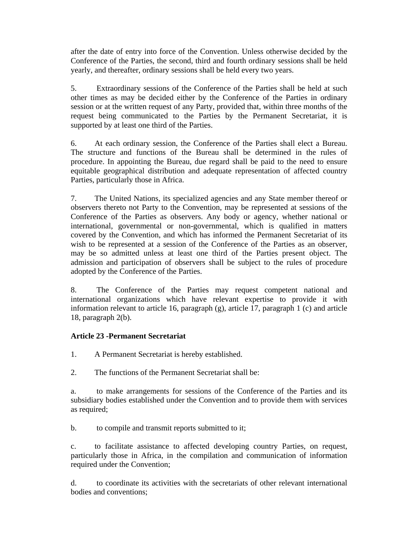after the date of entry into force of the Convention. Unless otherwise decided by the Conference of the Parties, the second, third and fourth ordinary sessions shall be held yearly, and thereafter, ordinary sessions shall be held every two years.

5. Extraordinary sessions of the Conference of the Parties shall be held at such other times as may be decided either by the Conference of the Parties in ordinary session or at the written request of any Party, provided that, within three months of the request being communicated to the Parties by the Permanent Secretariat, it is supported by at least one third of the Parties.

6. At each ordinary session, the Conference of the Parties shall elect a Bureau. The structure and functions of the Bureau shall be determined in the rules of procedure. In appointing the Bureau, due regard shall be paid to the need to ensure equitable geographical distribution and adequate representation of affected country Parties, particularly those in Africa.

7. The United Nations, its specialized agencies and any State member thereof or observers thereto not Party to the Convention, may be represented at sessions of the Conference of the Parties as observers. Any body or agency, whether national or international, governmental or non-governmental, which is qualified in matters covered by the Convention, and which has informed the Permanent Secretariat of its wish to be represented at a session of the Conference of the Parties as an observer, may be so admitted unless at least one third of the Parties present object. The admission and participation of observers shall be subject to the rules of procedure adopted by the Conference of the Parties.

8. The Conference of the Parties may request competent national and international organizations which have relevant expertise to provide it with information relevant to article 16, paragraph (g), article 17, paragraph 1 (c) and article 18, paragraph 2(b).

## **Article 23 -Permanent Secretariat**

1. A Permanent Secretariat is hereby established.

2. The functions of the Permanent Secretariat shall be:

a. to make arrangements for sessions of the Conference of the Parties and its subsidiary bodies established under the Convention and to provide them with services as required;

b. to compile and transmit reports submitted to it;

c. to facilitate assistance to affected developing country Parties, on request, particularly those in Africa, in the compilation and communication of information required under the Convention;

d. to coordinate its activities with the secretariats of other relevant international bodies and conventions;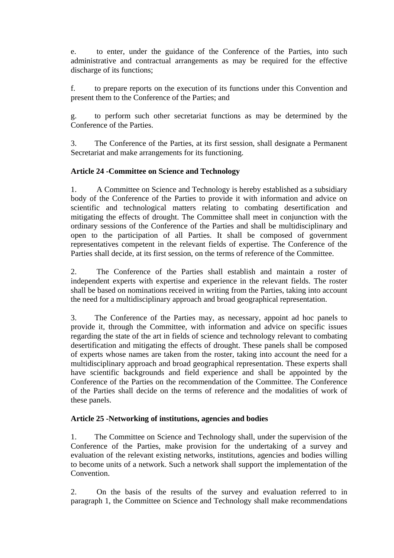e. to enter, under the guidance of the Conference of the Parties, into such administrative and contractual arrangements as may be required for the effective discharge of its functions;

f. to prepare reports on the execution of its functions under this Convention and present them to the Conference of the Parties; and

g. to perform such other secretariat functions as may be determined by the Conference of the Parties.

3. The Conference of the Parties, at its first session, shall designate a Permanent Secretariat and make arrangements for its functioning.

### **Article 24 -Committee on Science and Technology**

1. A Committee on Science and Technology is hereby established as a subsidiary body of the Conference of the Parties to provide it with information and advice on scientific and technological matters relating to combating desertification and mitigating the effects of drought. The Committee shall meet in conjunction with the ordinary sessions of the Conference of the Parties and shall be multidisciplinary and open to the participation of all Parties. It shall be composed of government representatives competent in the relevant fields of expertise. The Conference of the Parties shall decide, at its first session, on the terms of reference of the Committee.

2. The Conference of the Parties shall establish and maintain a roster of independent experts with expertise and experience in the relevant fields. The roster shall be based on nominations received in writing from the Parties, taking into account the need for a multidisciplinary approach and broad geographical representation.

3. The Conference of the Parties may, as necessary, appoint ad hoc panels to provide it, through the Committee, with information and advice on specific issues regarding the state of the art in fields of science and technology relevant to combating desertification and mitigating the effects of drought. These panels shall be composed of experts whose names are taken from the roster, taking into account the need for a multidisciplinary approach and broad geographical representation. These experts shall have scientific backgrounds and field experience and shall be appointed by the Conference of the Parties on the recommendation of the Committee. The Conference of the Parties shall decide on the terms of reference and the modalities of work of these panels.

#### **Article 25 -Networking of institutions, agencies and bodies**

1. The Committee on Science and Technology shall, under the supervision of the Conference of the Parties, make provision for the undertaking of a survey and evaluation of the relevant existing networks, institutions, agencies and bodies willing to become units of a network. Such a network shall support the implementation of the Convention.

2. On the basis of the results of the survey and evaluation referred to in paragraph 1, the Committee on Science and Technology shall make recommendations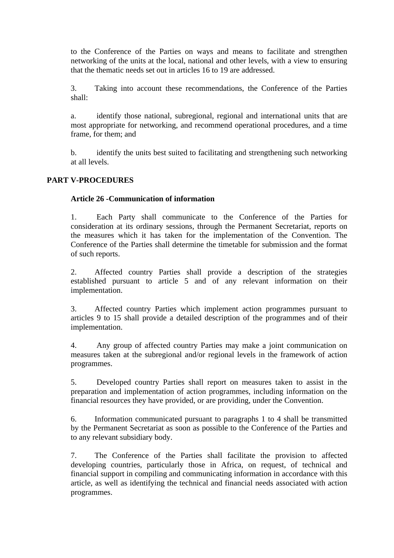to the Conference of the Parties on ways and means to facilitate and strengthen networking of the units at the local, national and other levels, with a view to ensuring that the thematic needs set out in articles 16 to 19 are addressed.

3. Taking into account these recommendations, the Conference of the Parties shall:

a. identify those national, subregional, regional and international units that are most appropriate for networking, and recommend operational procedures, and a time frame, for them; and

b. identify the units best suited to facilitating and strengthening such networking at all levels.

### **PART V-PROCEDURES**

#### **Article 26 -Communication of information**

1. Each Party shall communicate to the Conference of the Parties for consideration at its ordinary sessions, through the Permanent Secretariat, reports on the measures which it has taken for the implementation of the Convention. The Conference of the Parties shall determine the timetable for submission and the format of such reports.

2. Affected country Parties shall provide a description of the strategies established pursuant to article 5 and of any relevant information on their implementation.

3. Affected country Parties which implement action programmes pursuant to articles 9 to 15 shall provide a detailed description of the programmes and of their implementation.

4. Any group of affected country Parties may make a joint communication on measures taken at the subregional and/or regional levels in the framework of action programmes.

5. Developed country Parties shall report on measures taken to assist in the preparation and implementation of action programmes, including information on the financial resources they have provided, or are providing, under the Convention.

6. Information communicated pursuant to paragraphs 1 to 4 shall be transmitted by the Permanent Secretariat as soon as possible to the Conference of the Parties and to any relevant subsidiary body.

7. The Conference of the Parties shall facilitate the provision to affected developing countries, particularly those in Africa, on request, of technical and financial support in compiling and communicating information in accordance with this article, as well as identifying the technical and financial needs associated with action programmes.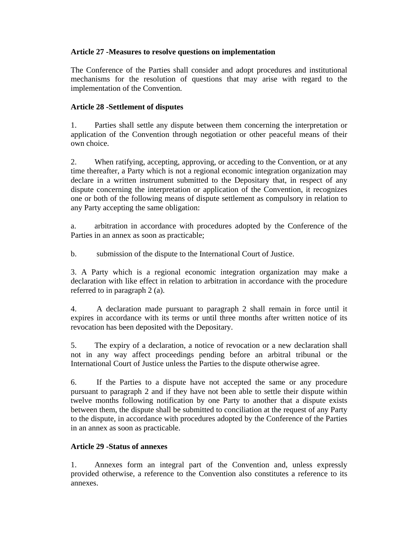# **Article 27 -Measures to resolve questions on implementation**

The Conference of the Parties shall consider and adopt procedures and institutional mechanisms for the resolution of questions that may arise with regard to the implementation of the Convention.

# **Article 28 -Settlement of disputes**

1. Parties shall settle any dispute between them concerning the interpretation or application of the Convention through negotiation or other peaceful means of their own choice.

2. When ratifying, accepting, approving, or acceding to the Convention, or at any time thereafter, a Party which is not a regional economic integration organization may declare in a written instrument submitted to the Depositary that, in respect of any dispute concerning the interpretation or application of the Convention, it recognizes one or both of the following means of dispute settlement as compulsory in relation to any Party accepting the same obligation:

a. arbitration in accordance with procedures adopted by the Conference of the Parties in an annex as soon as practicable;

b. submission of the dispute to the International Court of Justice.

3. A Party which is a regional economic integration organization may make a declaration with like effect in relation to arbitration in accordance with the procedure referred to in paragraph 2 (a).

4. A declaration made pursuant to paragraph 2 shall remain in force until it expires in accordance with its terms or until three months after written notice of its revocation has been deposited with the Depositary.

5. The expiry of a declaration, a notice of revocation or a new declaration shall not in any way affect proceedings pending before an arbitral tribunal or the International Court of Justice unless the Parties to the dispute otherwise agree.

6. If the Parties to a dispute have not accepted the same or any procedure pursuant to paragraph 2 and if they have not been able to settle their dispute within twelve months following notification by one Party to another that a dispute exists between them, the dispute shall be submitted to conciliation at the request of any Party to the dispute, in accordance with procedures adopted by the Conference of the Parties in an annex as soon as practicable.

## **Article 29 -Status of annexes**

1. Annexes form an integral part of the Convention and, unless expressly provided otherwise, a reference to the Convention also constitutes a reference to its annexes.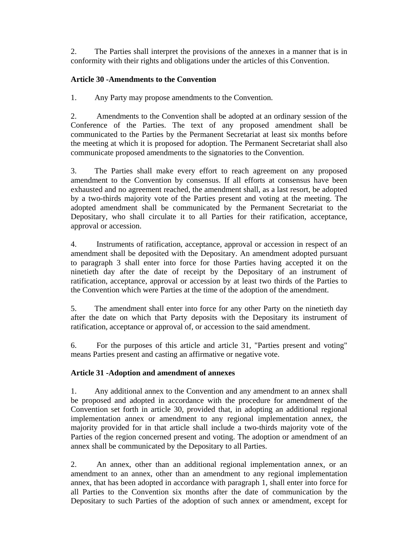2. The Parties shall interpret the provisions of the annexes in a manner that is in conformity with their rights and obligations under the articles of this Convention.

# **Article 30 -Amendments to the Convention**

1. Any Party may propose amendments to the Convention.

2. Amendments to the Convention shall be adopted at an ordinary session of the Conference of the Parties. The text of any proposed amendment shall be communicated to the Parties by the Permanent Secretariat at least six months before the meeting at which it is proposed for adoption. The Permanent Secretariat shall also communicate proposed amendments to the signatories to the Convention.

3. The Parties shall make every effort to reach agreement on any proposed amendment to the Convention by consensus. If all efforts at consensus have been exhausted and no agreement reached, the amendment shall, as a last resort, be adopted by a two-thirds majority vote of the Parties present and voting at the meeting. The adopted amendment shall be communicated by the Permanent Secretariat to the Depositary, who shall circulate it to all Parties for their ratification, acceptance, approval or accession.

4. Instruments of ratification, acceptance, approval or accession in respect of an amendment shall be deposited with the Depositary. An amendment adopted pursuant to paragraph 3 shall enter into force for those Parties having accepted it on the ninetieth day after the date of receipt by the Depositary of an instrument of ratification, acceptance, approval or accession by at least two thirds of the Parties to the Convention which were Parties at the time of the adoption of the amendment.

5. The amendment shall enter into force for any other Party on the ninetieth day after the date on which that Party deposits with the Depositary its instrument of ratification, acceptance or approval of, or accession to the said amendment.

6. For the purposes of this article and article 31, "Parties present and voting" means Parties present and casting an affirmative or negative vote.

## **Article 31 -Adoption and amendment of annexes**

1. Any additional annex to the Convention and any amendment to an annex shall be proposed and adopted in accordance with the procedure for amendment of the Convention set forth in article 30, provided that, in adopting an additional regional implementation annex or amendment to any regional implementation annex, the majority provided for in that article shall include a two-thirds majority vote of the Parties of the region concerned present and voting. The adoption or amendment of an annex shall be communicated by the Depositary to all Parties.

2. An annex, other than an additional regional implementation annex, or an amendment to an annex, other than an amendment to any regional implementation annex, that has been adopted in accordance with paragraph 1, shall enter into force for all Parties to the Convention six months after the date of communication by the Depositary to such Parties of the adoption of such annex or amendment, except for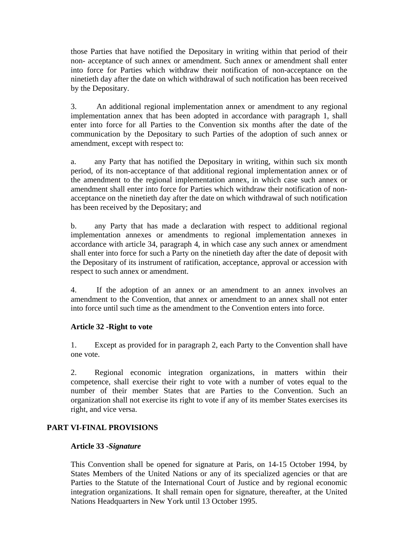those Parties that have notified the Depositary in writing within that period of their non- acceptance of such annex or amendment. Such annex or amendment shall enter into force for Parties which withdraw their notification of non-acceptance on the ninetieth day after the date on which withdrawal of such notification has been received by the Depositary.

3. An additional regional implementation annex or amendment to any regional implementation annex that has been adopted in accordance with paragraph 1, shall enter into force for all Parties to the Convention six months after the date of the communication by the Depositary to such Parties of the adoption of such annex or amendment, except with respect to:

a. any Party that has notified the Depositary in writing, within such six month period, of its non-acceptance of that additional regional implementation annex or of the amendment to the regional implementation annex, in which case such annex or amendment shall enter into force for Parties which withdraw their notification of nonacceptance on the ninetieth day after the date on which withdrawal of such notification has been received by the Depositary; and

b. any Party that has made a declaration with respect to additional regional implementation annexes or amendments to regional implementation annexes in accordance with article 34, paragraph 4, in which case any such annex or amendment shall enter into force for such a Party on the ninetieth day after the date of deposit with the Depositary of its instrument of ratification, acceptance, approval or accession with respect to such annex or amendment.

4. If the adoption of an annex or an amendment to an annex involves an amendment to the Convention, that annex or amendment to an annex shall not enter into force until such time as the amendment to the Convention enters into force.

## **Article 32 -Right to vote**

1. Except as provided for in paragraph 2, each Party to the Convention shall have one vote.

2. Regional economic integration organizations, in matters within their competence, shall exercise their right to vote with a number of votes equal to the number of their member States that are Parties to the Convention. Such an organization shall not exercise its right to vote if any of its member States exercises its right, and vice versa.

## **PART VI-FINAL PROVISIONS**

#### **Article 33 -***Signature*

This Convention shall be opened for signature at Paris, on 14-15 October 1994, by States Members of the United Nations or any of its specialized agencies or that are Parties to the Statute of the International Court of Justice and by regional economic integration organizations. It shall remain open for signature, thereafter, at the United Nations Headquarters in New York until 13 October 1995.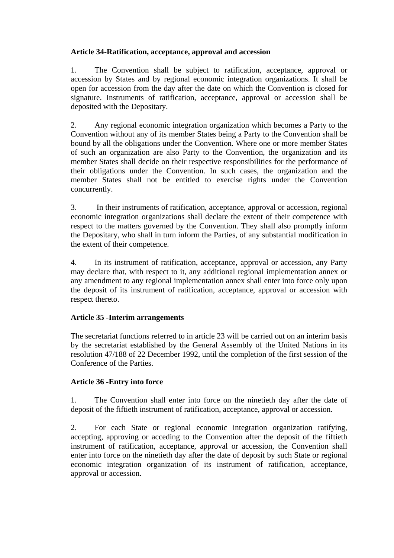### **Article 34-Ratification, acceptance, approval and accession**

1. The Convention shall be subject to ratification, acceptance, approval or accession by States and by regional economic integration organizations. It shall be open for accession from the day after the date on which the Convention is closed for signature. Instruments of ratification, acceptance, approval or accession shall be deposited with the Depositary.

2. Any regional economic integration organization which becomes a Party to the Convention without any of its member States being a Party to the Convention shall be bound by all the obligations under the Convention. Where one or more member States of such an organization are also Party to the Convention, the organization and its member States shall decide on their respective responsibilities for the performance of their obligations under the Convention. In such cases, the organization and the member States shall not be entitled to exercise rights under the Convention concurrently.

3. In their instruments of ratification, acceptance, approval or accession, regional economic integration organizations shall declare the extent of their competence with respect to the matters governed by the Convention. They shall also promptly inform the Depositary, who shall in turn inform the Parties, of any substantial modification in the extent of their competence.

4. In its instrument of ratification, acceptance, approval or accession, any Party may declare that, with respect to it, any additional regional implementation annex or any amendment to any regional implementation annex shall enter into force only upon the deposit of its instrument of ratification, acceptance, approval or accession with respect thereto.

## **Article 35 -Interim arrangements**

The secretariat functions referred to in article 23 will be carried out on an interim basis by the secretariat established by the General Assembly of the United Nations in its resolution 47/188 of 22 December 1992, until the completion of the first session of the Conference of the Parties.

## **Article 36 -Entry into force**

1. The Convention shall enter into force on the ninetieth day after the date of deposit of the fiftieth instrument of ratification, acceptance, approval or accession.

2. For each State or regional economic integration organization ratifying, accepting, approving or acceding to the Convention after the deposit of the fiftieth instrument of ratification, acceptance, approval or accession, the Convention shall enter into force on the ninetieth day after the date of deposit by such State or regional economic integration organization of its instrument of ratification, acceptance, approval or accession.